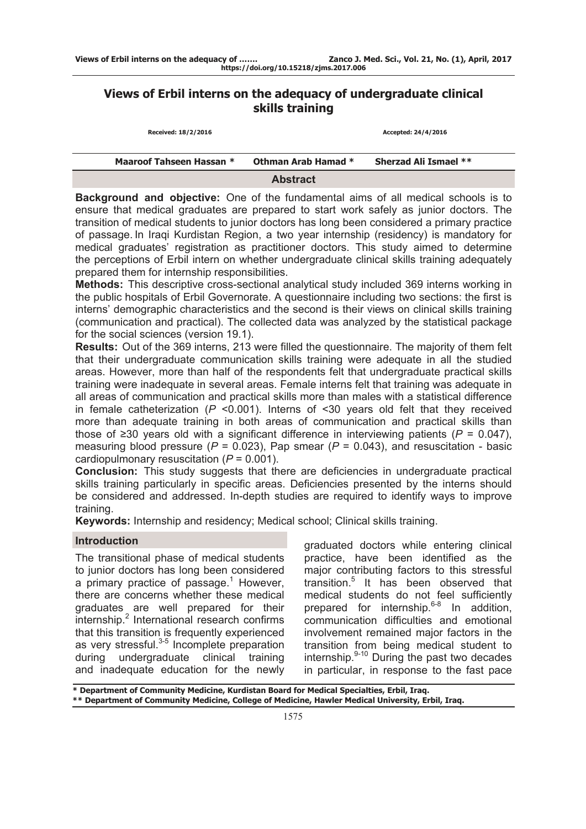# **Views of Erbil interns on the adequacy of undergraduate clinical skills training**

| Received: 18/2/2016      | Accepted: 24/4/2016 |                       |  |
|--------------------------|---------------------|-----------------------|--|
| Maaroof Tahseen Hassan * | Othman Arab Hamad * | Sherzad Ali Ismael ** |  |
|                          | <b>Abstract</b>     |                       |  |

**Background and objective:** One of the fundamental aims of all medical schools is to ensure that medical graduates are prepared to start work safely as junior doctors. The transition of medical students to junior doctors has long been considered a primary practice of passage. In Iraqi Kurdistan Region, a two year internship (residency) is mandatory for medical graduates' registration as practitioner doctors. This study aimed to determine the perceptions of Erbil intern on whether undergraduate clinical skills training adequately prepared them for internship responsibilities.

**Methods:** This descriptive cross-sectional analytical study included 369 interns working in the public hospitals of Erbil Governorate. A questionnaire including two sections: the first is interns' demographic characteristics and the second is their views on clinical skills training (communication and practical). The collected data was analyzed by the statistical package for the social sciences (version 19.1).

**Results:** Out of the 369 interns, 213 were filled the questionnaire. The majority of them felt that their undergraduate communication skills training were adequate in all the studied areas. However, more than half of the respondents felt that undergraduate practical skills training were inadequate in several areas. Female interns felt that training was adequate in all areas of communication and practical skills more than males with a statistical difference in female catheterization  $(P \le 0.001)$ . Interns of  $\le 30$  years old felt that they received more than adequate training in both areas of communication and practical skills than those of ≥30 years old with a significant difference in interviewing patients (*P* = 0.047), measuring blood pressure ( $P = 0.023$ ), Pap smear ( $P = 0.043$ ), and resuscitation - basic cardiopulmonary resuscitation (*P* = 0.001).

**Conclusion:** This study suggests that there are deficiencies in undergraduate practical skills training particularly in specific areas. Deficiencies presented by the interns should be considered and addressed. In-depth studies are required to identify ways to improve training.

**Keywords:** Internship and residency; Medical school; Clinical skills training.

## **Introduction**

The transitional phase of medical students to junior doctors has long been considered a primary practice of passage.<sup>1</sup> However, there are concerns whether these medical graduates are well prepared for their internship.<sup>2</sup> International research confirms that this transition is frequently experienced as very stressful.<sup>3-5</sup> Incomplete preparation during undergraduate clinical training and inadequate education for the newly

graduated doctors while entering clinical practice, have been identified as the major contributing factors to this stressful transition.<sup>5</sup> It has been observed that medical students do not feel sufficiently prepared for internship. $6-8$  In addition, communication difficulties and emotional involvement remained major factors in the transition from being medical student to internship.<sup>9-10</sup> During the past two decades in particular, in response to the fast pace

**\* Department of Community Medicine, Kurdistan Board for Medical Specialties, Erbil, Iraq. \*\* Department of Community Medicine, College of Medicine, Hawler Medical University, Erbil, Iraq.**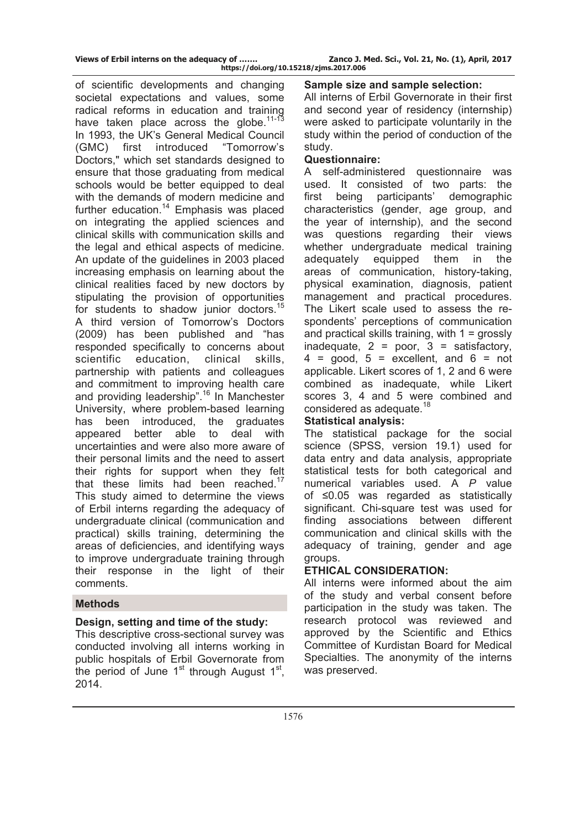of scientific developments and changing societal expectations and values, some radical reforms in education and training have taken place across the globe.<sup>11-13</sup> In 1993, the UK's General Medical Council (GMC) first introduced "Tomorrow's Doctors," which set standards designed to ensure that those graduating from medical schools would be better equipped to deal with the demands of modern medicine and further education.<sup>14</sup> Emphasis was placed on integrating the applied sciences and clinical skills with communication skills and the legal and ethical aspects of medicine. An update of the guidelines in 2003 placed increasing emphasis on learning about the clinical realities faced by new doctors by stipulating the provision of opportunities for students to shadow junior doctors.<sup>15</sup> A third version of Tomorrow's Doctors (2009) has been published and "has responded specifically to concerns about scientific education, clinical skills, partnership with patients and colleagues and commitment to improving health care and providing leadership".<sup>16</sup> In Manchester University, where problem-based learning has been introduced, the graduates appeared better able to deal with uncertainties and were also more aware of their personal limits and the need to assert their rights for support when they felt that these limits had been reached.<sup>17</sup> This study aimed to determine the views of Erbil interns regarding the adequacy of undergraduate clinical (communication and practical) skills training, determining the areas of deficiencies, and identifying ways to improve undergraduate training through their response in the light of their comments.

## **Methods**

### **Design, setting and time of the study:**

This descriptive cross-sectional survey was conducted involving all interns working in public hospitals of Erbil Governorate from the period of June  $1<sup>st</sup>$  through August  $1<sup>st</sup>$ . 2014.

### **Sample size and sample selection:**

All interns of Erbil Governorate in their first and second year of residency (internship) were asked to participate voluntarily in the study within the period of conduction of the study.

### **Questionnaire:**

A self-administered questionnaire was used. It consisted of two parts: the first being participants' demographic characteristics (gender, age group, and the year of internship), and the second was questions regarding their views whether undergraduate medical training adequately equipped them in the areas of communication, history-taking, physical examination, diagnosis, patient management and practical procedures. The Likert scale used to assess the respondents' perceptions of communication and practical skills training, with  $1 =$  grossly inadequate,  $2 = poor$ ,  $3 = satisfactory$ ,  $4 = good$ ,  $5 = excellent$ , and  $6 = not$ applicable. Likert scores of 1, 2 and 6 were combined as inadequate, while Likert scores 3, 4 and 5 were combined and considered as adequate.<sup>18</sup>

### **Statistical analysis:**

The statistical package for the social science (SPSS, version 19.1) used for data entry and data analysis, appropriate statistical tests for both categorical and numerical variables used. A *P* value of ≤0.05 was regarded as statistically significant. Chi-square test was used for finding associations between different communication and clinical skills with the adequacy of training, gender and age groups.

## **ETHICAL CONSIDERATION:**

All interns were informed about the aim of the study and verbal consent before participation in the study was taken. The research protocol was reviewed and approved by the Scientific and Ethics Committee of Kurdistan Board for Medical Specialties. The anonymity of the interns was preserved.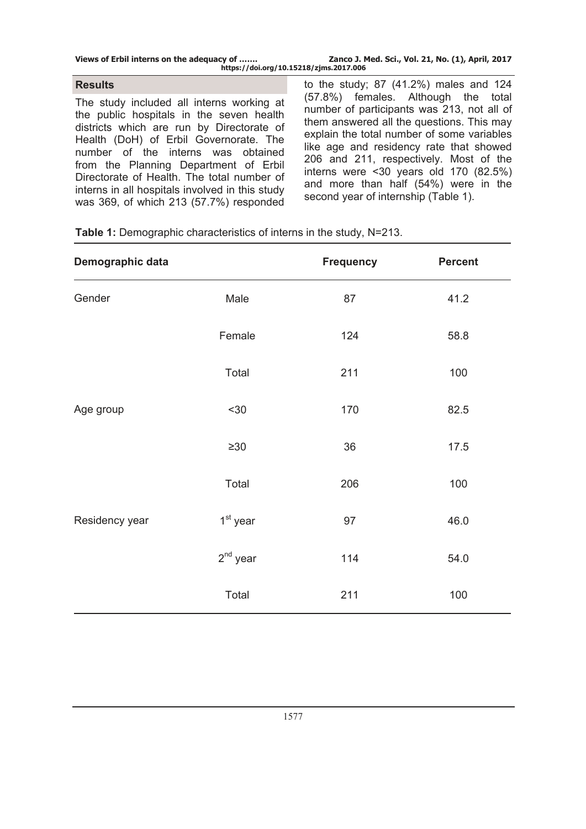| Views of Erbil interns on the adequacy of | Zanco J. Med. Sci., Vol. 21, No. (1), April, 2017 |
|-------------------------------------------|---------------------------------------------------|
| https://doi.org/10.15218/zjms.2017.006    |                                                   |

### **Results**

The study included all interns working at the public hospitals in the seven health districts which are run by Directorate of Health (DoH) of Erbil Governorate. The number of the interns was obtained from the Planning Department of Erbil Directorate of Health. The total number of interns in all hospitals involved in this study was 369, of which 213 (57.7%) responded

to the study; 87 (41.2%) males and 124 (57.8%) females. Although the total number of participants was 213, not all of them answered all the questions. This may explain the total number of some variables like age and residency rate that showed 206 and 211, respectively. Most of the interns were <30 years old 170 (82.5%) and more than half (54%) were in the second year of internship (Table 1).

| <b>Table 1:</b> Demographic characteristics of interns in the study, N=213. |  |  |  |  |
|-----------------------------------------------------------------------------|--|--|--|--|
|-----------------------------------------------------------------------------|--|--|--|--|

| Demographic data |            | <b>Frequency</b> | <b>Percent</b> |
|------------------|------------|------------------|----------------|
| Gender           | Male       | 87               | 41.2           |
|                  | Female     | 124              | 58.8           |
|                  | Total      | 211              | 100            |
| Age group        | $30$       | 170              | 82.5           |
|                  | $\geq 30$  | 36               | 17.5           |
|                  | Total      | 206              | 100            |
| Residency year   | $1st$ year | 97               | 46.0           |
|                  | $2nd$ year | 114              | 54.0           |
|                  | Total      | 211              | 100            |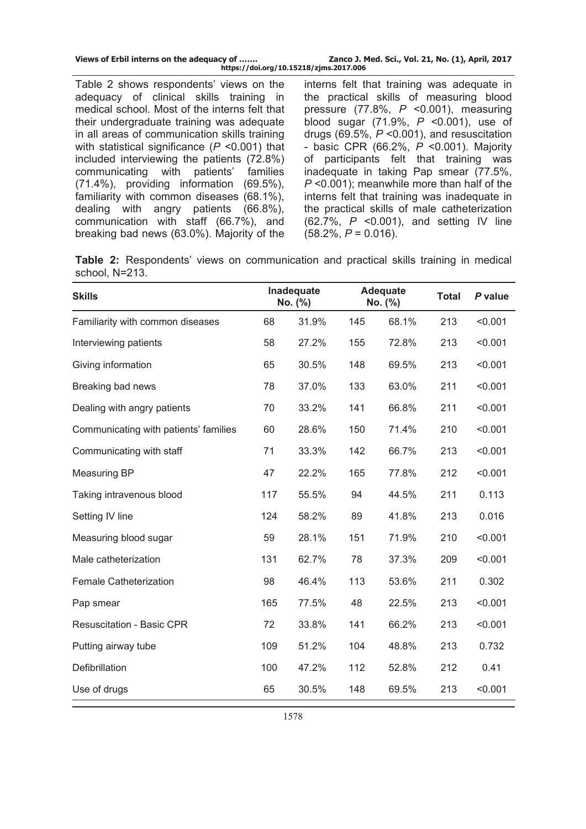| Views of Erbil interns on the adequacy of | Zanco J. Med. Sci., Vol. 21, No. (1), April, 2017 |
|-------------------------------------------|---------------------------------------------------|
| https://doi.org/10.15218/zjms.2017.006    |                                                   |

Table 2 shows respondents' views on the adequacy of clinical skills training in medical school. Most of the interns felt that their undergraduate training was adequate in all areas of communication skills training with statistical significance (*P* <0.001) that included interviewing the patients (72.8%) communicating with patients' families (71.4%), providing information (69.5%), familiarity with common diseases (68.1%), dealing with angry patients (66.8%), communication with staff (66.7%), and breaking bad news (63.0%). Majority of the

interns felt that training was adequate in the practical skills of measuring blood pressure (77.8%, *P* <0.001), measuring blood sugar (71.9%, *P* <0.001), use of drugs (69.5%, *P* <0.001), and resuscitation - basic CPR (66.2%, *P* <0.001). Majority of participants felt that training was inadequate in taking Pap smear (77.5%, *P* <0.001); meanwhile more than half of the interns felt that training was inadequate in the practical skills of male catheterization (62.7%, *P* <0.001), and setting IV line (58.2%, *P* = 0.016).

**Table 2:** Respondents' views on communication and practical skills training in medical school, N=213.

| <b>Skills</b>                         |     | Inadequate<br>No. (%) |     | <b>Adequate</b><br>No. (%) |     | P value |
|---------------------------------------|-----|-----------------------|-----|----------------------------|-----|---------|
| Familiarity with common diseases      | 68  | 31.9%                 | 145 | 68.1%                      | 213 | < 0.001 |
| Interviewing patients                 | 58  | 27.2%                 | 155 | 72.8%                      | 213 | < 0.001 |
| Giving information                    | 65  | 30.5%                 | 148 | 69.5%                      | 213 | < 0.001 |
| Breaking bad news                     | 78  | 37.0%                 | 133 | 63.0%                      | 211 | < 0.001 |
| Dealing with angry patients           | 70  | 33.2%                 | 141 | 66.8%                      | 211 | < 0.001 |
| Communicating with patients' families | 60  | 28.6%                 | 150 | 71.4%                      | 210 | < 0.001 |
| Communicating with staff              | 71  | 33.3%                 | 142 | 66.7%                      | 213 | < 0.001 |
| Measuring BP                          | 47  | 22.2%                 | 165 | 77.8%                      | 212 | < 0.001 |
| Taking intravenous blood              | 117 | 55.5%                 | 94  | 44.5%                      | 211 | 0.113   |
| Setting IV line                       | 124 | 58.2%                 | 89  | 41.8%                      | 213 | 0.016   |
| Measuring blood sugar                 | 59  | 28.1%                 | 151 | 71.9%                      | 210 | < 0.001 |
| Male catheterization                  | 131 | 62.7%                 | 78  | 37.3%                      | 209 | < 0.001 |
| <b>Female Catheterization</b>         | 98  | 46.4%                 | 113 | 53.6%                      | 211 | 0.302   |
| Pap smear                             | 165 | 77.5%                 | 48  | 22.5%                      | 213 | < 0.001 |
| <b>Resuscitation - Basic CPR</b>      | 72  | 33.8%                 | 141 | 66.2%                      | 213 | < 0.001 |
| Putting airway tube                   | 109 | 51.2%                 | 104 | 48.8%                      | 213 | 0.732   |
| Defibrillation                        | 100 | 47.2%                 | 112 | 52.8%                      | 212 | 0.41    |
| Use of drugs                          | 65  | 30.5%                 | 148 | 69.5%                      | 213 | < 0.001 |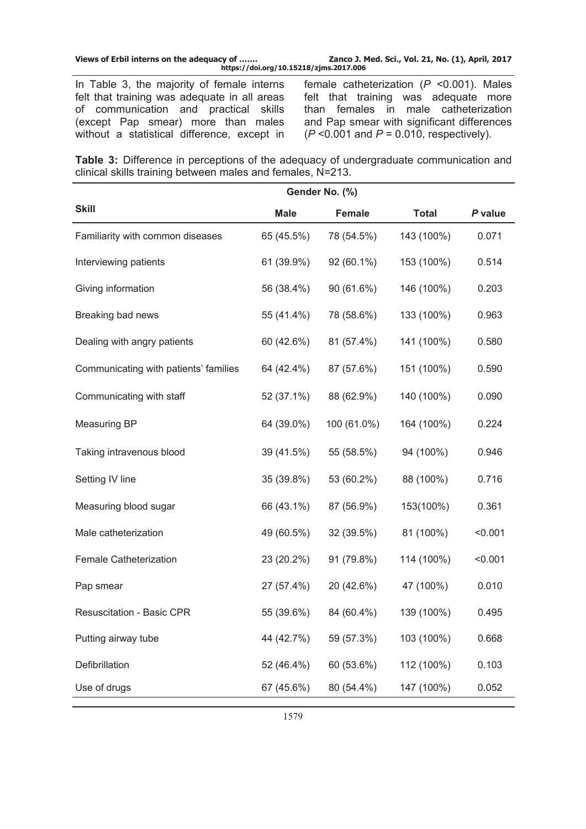In Table 3, the majority of female interns felt that training was adequate in all areas of communication and practical skills (except Pap smear) more than males without a statistical difference, except in female catheterization (*P* <0.001). Males felt that training was adequate more than females in male catheterization and Pap smear with significant differences (*P* <0.001 and *P* = 0.010, respectively).

**Table 3:** Difference in perceptions of the adequacy of undergraduate communication and clinical skills training between males and females, N=213.

|                                       | Gender No. (%) |             |              |         |  |  |
|---------------------------------------|----------------|-------------|--------------|---------|--|--|
| <b>Skill</b>                          | <b>Male</b>    | Female      | <b>Total</b> | P value |  |  |
| Familiarity with common diseases      | 65 (45.5%)     | 78 (54.5%)  | 143 (100%)   | 0.071   |  |  |
| Interviewing patients                 | 61 (39.9%)     | 92 (60.1%)  | 153 (100%)   | 0.514   |  |  |
| Giving information                    | 56 (38.4%)     | 90 (61.6%)  | 146 (100%)   | 0.203   |  |  |
| Breaking bad news                     | 55 (41.4%)     | 78 (58.6%)  | 133 (100%)   | 0.963   |  |  |
| Dealing with angry patients           | 60 (42.6%)     | 81 (57.4%)  | 141 (100%)   | 0.580   |  |  |
| Communicating with patients' families | 64 (42.4%)     | 87 (57.6%)  | 151 (100%)   | 0.590   |  |  |
| Communicating with staff              | 52 (37.1%)     | 88 (62.9%)  | 140 (100%)   | 0.090   |  |  |
| <b>Measuring BP</b>                   | 64 (39.0%)     | 100 (61.0%) | 164 (100%)   | 0.224   |  |  |
| Taking intravenous blood              | 39 (41.5%)     | 55 (58.5%)  | 94 (100%)    | 0.946   |  |  |
| Setting IV line                       | 35 (39.8%)     | 53 (60.2%)  | 88 (100%)    | 0.716   |  |  |
| Measuring blood sugar                 | 66 (43.1%)     | 87 (56.9%)  | 153(100%)    | 0.361   |  |  |
| Male catheterization                  | 49 (60.5%)     | 32 (39.5%)  | 81 (100%)    | < 0.001 |  |  |
| Female Catheterization                | 23 (20.2%)     | 91 (79.8%)  | 114 (100%)   | < 0.001 |  |  |
| Pap smear                             | 27 (57.4%)     | 20 (42.6%)  | 47 (100%)    | 0.010   |  |  |
| <b>Resuscitation - Basic CPR</b>      | 55 (39.6%)     | 84 (60.4%)  | 139 (100%)   | 0.495   |  |  |
| Putting airway tube                   | 44 (42.7%)     | 59 (57.3%)  | 103 (100%)   | 0.668   |  |  |
| Defibrillation                        | 52 (46.4%)     | 60 (53.6%)  | 112 (100%)   | 0.103   |  |  |
| Use of drugs                          | 67 (45.6%)     | 80 (54.4%)  | 147 (100%)   | 0.052   |  |  |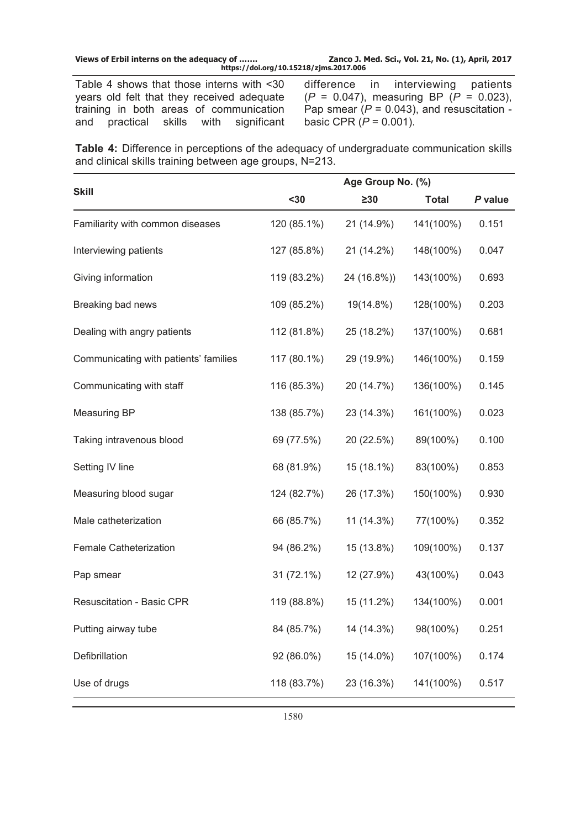Table 4 shows that those interns with <30 years old felt that they received adequate training in both areas of communication and practical skills with significant

difference in interviewing patients (*P* = 0.047), measuring BP (*P* = 0.023), Pap smear (*P* = 0.043), and resuscitation basic CPR (*P* = 0.001).

**Table 4:** Difference in perceptions of the adequacy of undergraduate communication skills and clinical skills training between age groups, N=213.

|                                       | Age Group No. (%) |             |              |         |  |  |
|---------------------------------------|-------------------|-------------|--------------|---------|--|--|
| <b>Skill</b>                          | $30$              | $\geq 30$   | <b>Total</b> | P value |  |  |
| Familiarity with common diseases      | 120 (85.1%)       | 21 (14.9%)  | 141(100%)    | 0.151   |  |  |
| Interviewing patients                 | 127 (85.8%)       | 21 (14.2%)  | 148(100%)    | 0.047   |  |  |
| Giving information                    | 119 (83.2%)       | 24 (16.8%)) | 143(100%)    | 0.693   |  |  |
| Breaking bad news                     | 109 (85.2%)       | 19(14.8%)   | 128(100%)    | 0.203   |  |  |
| Dealing with angry patients           | 112 (81.8%)       | 25 (18.2%)  | 137(100%)    | 0.681   |  |  |
| Communicating with patients' families | 117 (80.1%)       | 29 (19.9%)  | 146(100%)    | 0.159   |  |  |
| Communicating with staff              | 116 (85.3%)       | 20 (14.7%)  | 136(100%)    | 0.145   |  |  |
| <b>Measuring BP</b>                   | 138 (85.7%)       | 23 (14.3%)  | 161(100%)    | 0.023   |  |  |
| Taking intravenous blood              | 69 (77.5%)        | 20 (22.5%)  | 89(100%)     | 0.100   |  |  |
| Setting IV line                       | 68 (81.9%)        | 15 (18.1%)  | 83(100%)     | 0.853   |  |  |
| Measuring blood sugar                 | 124 (82.7%)       | 26 (17.3%)  | 150(100%)    | 0.930   |  |  |
| Male catheterization                  | 66 (85.7%)        | 11 (14.3%)  | 77(100%)     | 0.352   |  |  |
| <b>Female Catheterization</b>         | 94 (86.2%)        | 15 (13.8%)  | 109(100%)    | 0.137   |  |  |
| Pap smear                             | 31 (72.1%)        | 12 (27.9%)  | 43(100%)     | 0.043   |  |  |
| <b>Resuscitation - Basic CPR</b>      | 119 (88.8%)       | 15 (11.2%)  | 134(100%)    | 0.001   |  |  |
| Putting airway tube                   | 84 (85.7%)        | 14 (14.3%)  | 98(100%)     | 0.251   |  |  |
| Defibrillation                        | 92 (86.0%)        | 15 (14.0%)  | 107(100%)    | 0.174   |  |  |
| Use of drugs                          | 118 (83.7%)       | 23 (16.3%)  | 141(100%)    | 0.517   |  |  |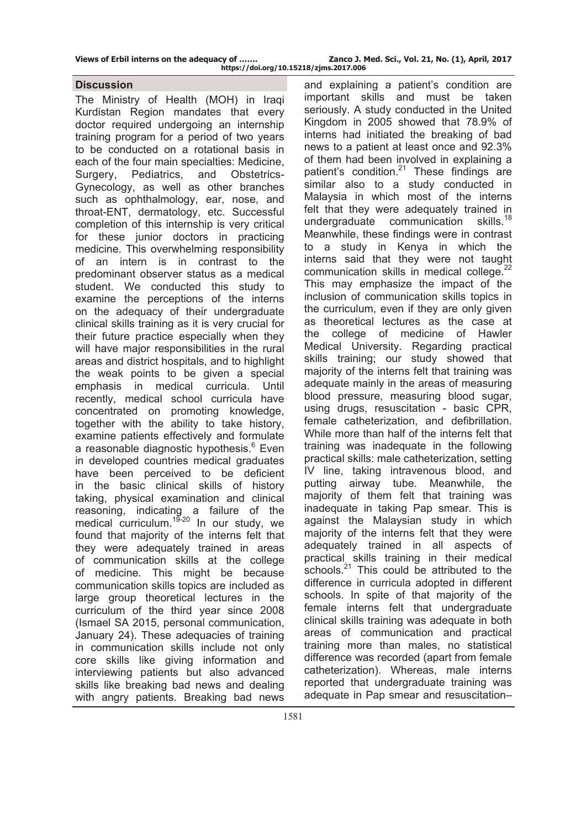#### **Discussion**

The Ministry of Health (MOH) in Iraqi Kurdistan Region mandates that every doctor required undergoing an internship training program for a period of two years to be conducted on a rotational basis in each of the four main specialties: Medicine, Surgery, Pediatrics, and Obstetrics-Gynecology, as well as other branches such as ophthalmology, ear, nose, and throat-ENT, dermatology, etc. Successful completion of this internship is very critical for these junior doctors in practicing medicine. This overwhelming responsibility of an intern is in contrast to the predominant observer status as a medical student. We conducted this study to examine the perceptions of the interns on the adequacy of their undergraduate clinical skills training as it is very crucial for their future practice especially when they will have major responsibilities in the rural areas and district hospitals, and to highlight the weak points to be given a special emphasis in medical curricula. Until recently, medical school curricula have concentrated on promoting knowledge, together with the ability to take history, examine patients effectively and formulate a reasonable diagnostic hypothesis.<sup>6</sup> Even in developed countries medical graduates have been perceived to be deficient in the basic clinical skills of history taking, physical examination and clinical reasoning, indicating a failure of the medical curriculum.<sup>19-20</sup> In our study, we found that majority of the interns felt that they were adequately trained in areas of communication skills at the college of medicine. This might be because communication skills topics are included as large group theoretical lectures in the curriculum of the third year since 2008 (Ismael SA 2015, personal communication, January 24). These adequacies of training in communication skills include not only core skills like giving information and interviewing patients but also advanced skills like breaking bad news and dealing with angry patients. Breaking bad news

and explaining a patient's condition are important skills and must be taken seriously. A study conducted in the United Kingdom in 2005 showed that 78.9% of interns had initiated the breaking of bad news to a patient at least once and 92.3% of them had been involved in explaining a patient's condition. $21$  These findings are similar also to a study conducted in Malaysia in which most of the interns felt that they were adequately trained in undergraduate communication skills.<sup>18</sup> Meanwhile, these findings were in contrast to a study in Kenya in which the interns said that they were not taught communication skills in medical college.<sup>22</sup> This may emphasize the impact of the inclusion of communication skills topics in the curriculum, even if they are only given as theoretical lectures as the case at the college of medicine of Hawler Medical University. Regarding practical skills training; our study showed that majority of the interns felt that training was adequate mainly in the areas of measuring blood pressure, measuring blood sugar, using drugs, resuscitation - basic CPR, female catheterization, and defibrillation. While more than half of the interns felt that training was inadequate in the following practical skills: male catheterization, setting IV line, taking intravenous blood, and putting airway tube. Meanwhile, the majority of them felt that training was inadequate in taking Pap smear. This is against the Malaysian study in which majority of the interns felt that they were adequately trained in all aspects of practical skills training in their medical schools. $21$  This could be attributed to the difference in curricula adopted in different schools. In spite of that majority of the female interns felt that undergraduate clinical skills training was adequate in both areas of communication and practical training more than males, no statistical difference was recorded (apart from female catheterization). Whereas, male interns reported that undergraduate training was adequate in Pap smear and resuscitation–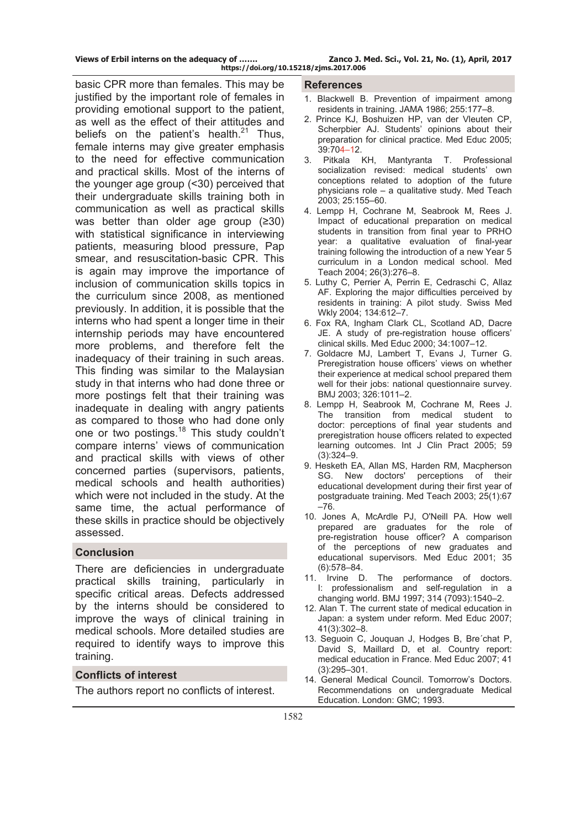basic CPR more than females. This may be justified by the important role of females in providing emotional support to the patient, as well as the effect of their attitudes and beliefs on the patient's health. $21$  Thus, female interns may give greater emphasis to the need for effective communication and practical skills. Most of the interns of the younger age group (<30) perceived that their undergraduate skills training both in communication as well as practical skills was better than older age group (≥30) with statistical significance in interviewing patients, measuring blood pressure, Pap smear, and resuscitation-basic CPR. This is again may improve the importance of inclusion of communication skills topics in the curriculum since 2008, as mentioned previously. In addition, it is possible that the interns who had spent a longer time in their internship periods may have encountered more problems, and therefore felt the inadequacy of their training in such areas. This finding was similar to the Malaysian study in that interns who had done three or more postings felt that their training was inadequate in dealing with angry patients as compared to those who had done only one or two postings.18 This study couldn't compare interns' views of communication and practical skills with views of other concerned parties (supervisors, patients, medical schools and health authorities) which were not included in the study. At the same time, the actual performance of these skills in practice should be objectively assessed.

### **Conclusion**

There are deficiencies in undergraduate practical skills training, particularly in specific critical areas. Defects addressed by the interns should be considered to improve the ways of clinical training in medical schools. More detailed studies are required to identify ways to improve this training.

### **Conflicts of interest**

The authors report no conflicts of interest.

#### **References**

- 1. Blackwell B. Prevention of impairment among residents in training. JAMA 1986; 255:177–8.
- 2. Prince KJ, Boshuizen HP, van der Vleuten CP, Scherpbier AJ. Students' opinions about their preparation for clinical practice. Med Educ 2005; 39:704–12.
- 3. Pitkala KH, Mantyranta T. Professional socialization revised: medical students' own conceptions related to adoption of the future physicians role – a qualitative study. Med Teach 2003; 25:155–60.
- 4. Lempp H, Cochrane M, Seabrook M, Rees J. Impact of educational preparation on medical students in transition from final year to PRHO year: a qualitative evaluation of final-year training following the introduction of a new Year 5 curriculum in a London medical school. Med Teach 2004; 26(3):276–8.
- 5. Luthy C, Perrier A, Perrin E, Cedraschi C, Allaz AF. Exploring the major difficulties perceived by residents in training: A pilot study. Swiss Med Wkly 2004; 134:612–7.
- 6. Fox RA, Ingham Clark CL, Scotland AD, Dacre JE. A study of pre-registration house officers' clinical skills. Med Educ 2000; 34:1007–12.
- 7. Goldacre MJ, Lambert T, Evans J, Turner G. Preregistration house officers' views on whether their experience at medical school prepared them well for their jobs: national questionnaire survey. BMJ 2003; 326:1011–2.
- 8. Lempp H, Seabrook M, Cochrane M, Rees J. The transition from medical student to doctor: perceptions of final year students and preregistration house officers related to expected learning outcomes. Int J Clin Pract 2005; 59 (3):324–9.
- 9. Hesketh EA, Allan MS, Harden RM, Macpherson SG. New doctors' perceptions of their educational development during their first year of postgraduate training. Med Teach 2003; 25(1):67 –76.
- 10. Jones A, McArdle PJ, O'Neill PA. How well prepared are graduates for the role of pre-registration house officer? A comparison of the perceptions of new graduates and educational supervisors. Med Educ 2001; 35 (6):578–84.
- 11. Irvine D. The performance of doctors. I: professionalism and self-regulation in a changing world. BMJ 1997; 314 (7093):1540–2.
- 12. Alan T. The current state of medical education in Japan: a system under reform. Med Educ 2007; 41(3):302–8.
- 13. Seguoin C, Jouquan J, Hodges B, Bre´chat P, David S, Maillard D, et al. Country report: medical education in France. Med Educ 2007; 41 (3):295–301.
- 14. General Medical Council. Tomorrow's Doctors. Recommendations on undergraduate Medical Education. London: GMC; 1993.